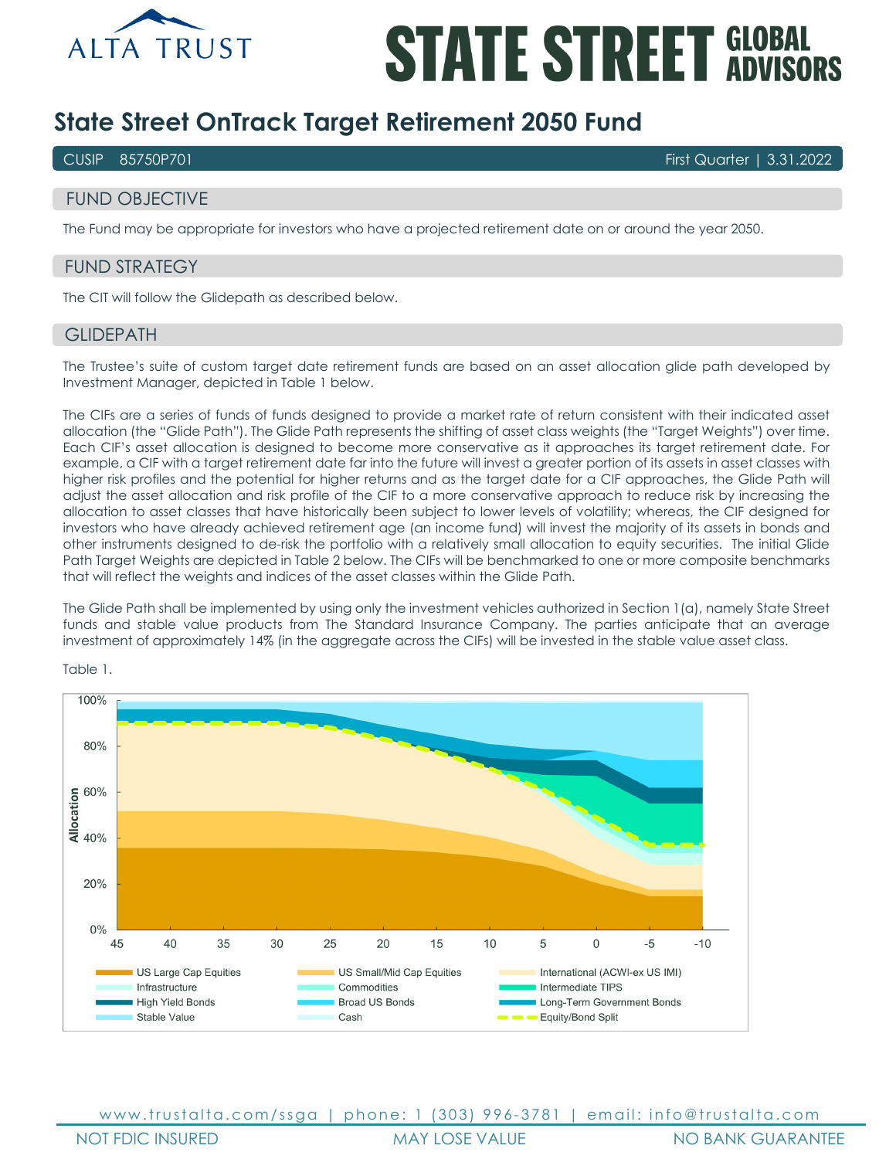

# **STATE STREET GLOBAL**

# **State Street OnTrack Target Retirement 2050 Fund**

CUSIP 85750P701 First Quarter | 3.31.2022

# FUND OBJECTIVE

The Fund may be appropriate for investors who have a projected retirement date on or around the year 2050.

# FUND STRATEGY

The CIT will follow the Glidepath as described below.

## **GLIDEPATH**

The Trustee's suite of custom target date retirement funds are based on an asset allocation glide path developed by Investment Manager, depicted in Table 1 below.

The CIFs are a series of funds of funds designed to provide a market rate of return consistent with their indicated asset allocation (the "Glide Path"). The Glide Path represents the shifting of asset class weights (the "Target Weights") over time. Each CIF's asset allocation is designed to become more conservative as it approaches its target retirement date. For example, a CIF with a target retirement date far into the future will invest a greater portion of its assets in asset classes with higher risk profiles and the potential for higher returns and as the target date for a CIF approaches, the Glide Path will adjust the asset allocation and risk profile of the CIF to a more conservative approach to reduce risk by increasing the allocation to asset classes that have historically been subject to lower levels of volatility; whereas, the CIF designed for investors who have already achieved retirement age (an income fund) will invest the majority of its assets in bonds and other instruments designed to de-risk the portfolio with a relatively small allocation to equity securities. The initial Glide Path Target Weights are depicted in Table 2 below. The CIFs will be benchmarked to one or more composite benchmarks that will reflect the weights and indices of the asset classes within the Glide Path.

The Glide Path shall be implemented by using only the investment vehicles authorized in Section 1(a), namely State Street funds and stable value products from The Standard Insurance Company. The parties anticipate that an average investment of approximately 14% (in the aggregate across the CIFs) will be invested in the stable value asset class.



Table 1.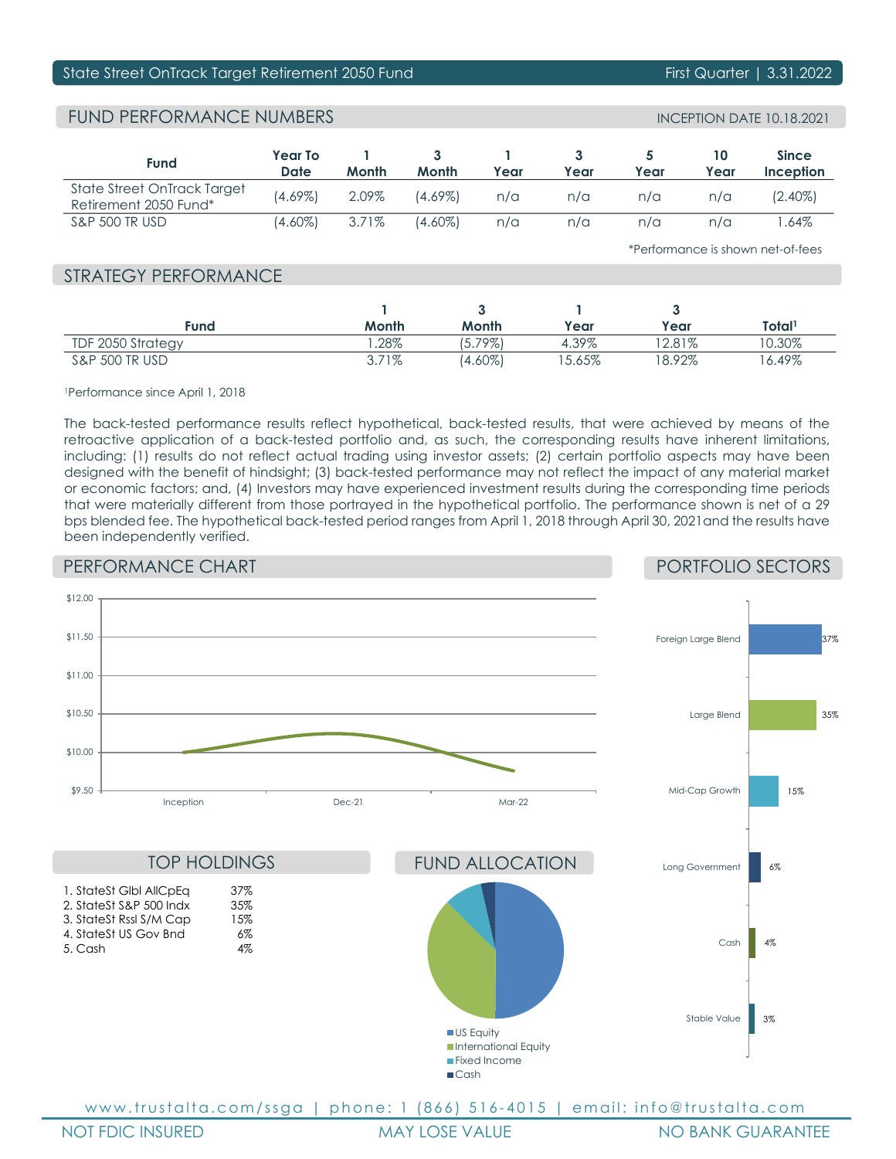# State Street OnTrack Target Retirement 2050 Fund First Quarter | 3.31.2022

# FUND PERFORMANCE NUMBERS

| <b>INCEPTION DATE 10.18.2021</b> |  |  |
|----------------------------------|--|--|
|----------------------------------|--|--|

| <b>Fund</b>                                          | Year To<br>Date | Month | Month      | Year | Year | Year | Year | <b>Since</b><br>Inception |
|------------------------------------------------------|-----------------|-------|------------|------|------|------|------|---------------------------|
| State Street OnTrack Target<br>Retirement 2050 Fund* | $(4.69\%)$      | 2.09% | $(4.69\%)$ | n/a  | n/a  | n/a  | n/a  | $(2.40\%)$                |
| S&P 500 TR USD                                       | (4.60%)         | 3.71% | (4.60%)    | n/a  | n/a  | n/a  | n/a  | .64%                      |

\*Performance is shown net-of-fees

# STRATEGY PERFORMANCE

| Fund              | Month    | Month      | Year     | Year     | Total'    |
|-------------------|----------|------------|----------|----------|-----------|
| TDF 2050 Strategy | .28%     | $5.79\%$   | 4.39%    | $2.81\%$ | $'0.30\%$ |
| S&P 500 TR USD    | $3.71\%$ | $(4.60\%)$ | $5.65\%$ | $8.92\%$ | $6.49\%$  |

1Performance since April 1, 2018

The back-tested performance results reflect hypothetical, back-tested results, that were achieved by means of the retroactive application of a back-tested portfolio and, as such, the corresponding results have inherent limitations, including: (1) results do not reflect actual trading using investor assets; (2) certain portfolio aspects may have been designed with the benefit of hindsight; (3) back-tested performance may not reflect the impact of any material market or economic factors; and, (4) Investors may have experienced investment results during the corresponding time periods that were materially different from those portrayed in the hypothetical portfolio. The performance shown is net of a 29 bps blended fee. The hypothetical back-tested period ranges from April 1, 2018 through April 30, 2021and the results have been independently verified.

# PERFORMANCE CHART

# PORTFOLIO SECTORS

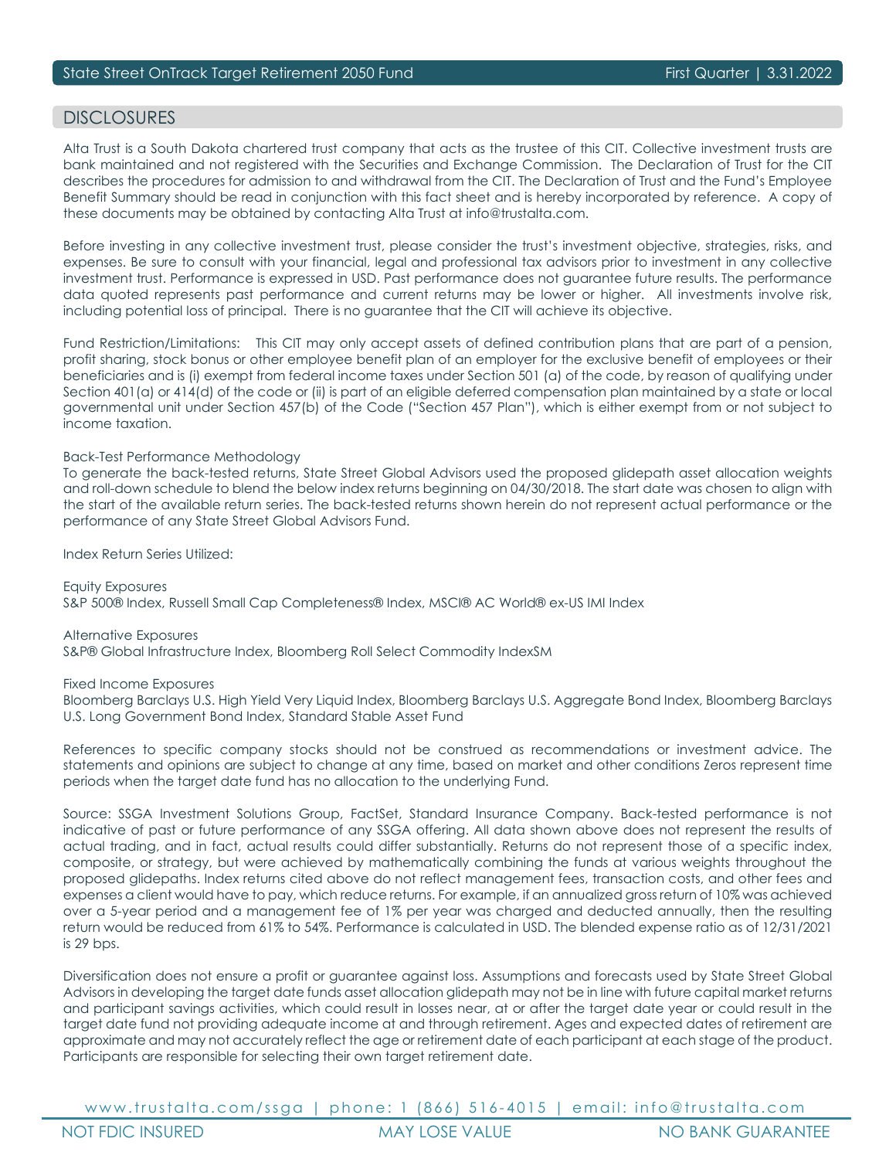# DISCI OSURES

Alta Trust is a South Dakota chartered trust company that acts as the trustee of this CIT. Collective investment trusts are bank maintained and not registered with the Securities and Exchange Commission. The Declaration of Trust for the CIT describes the procedures for admission to and withdrawal from the CIT. The Declaration of Trust and the Fund's Employee Benefit Summary should be read in conjunction with this fact sheet and is hereby incorporated by reference. A copy of these documents may be obtained by contacting Alta Trust at info@trustalta.com.

Before investing in any collective investment trust, please consider the trust's investment objective, strategies, risks, and expenses. Be sure to consult with your financial, legal and professional tax advisors prior to investment in any collective investment trust. Performance is expressed in USD. Past performance does not guarantee future results. The performance data quoted represents past performance and current returns may be lower or higher. All investments involve risk, including potential loss of principal. There is no guarantee that the CIT will achieve its objective.

Fund Restriction/Limitations: This CIT may only accept assets of defined contribution plans that are part of a pension, profit sharing, stock bonus or other employee benefit plan of an employer for the exclusive benefit of employees or their beneficiaries and is (i) exempt from federal income taxes under Section 501 (a) of the code, by reason of qualifying under Section 401(a) or 414(d) of the code or (ii) is part of an eligible deferred compensation plan maintained by a state or local governmental unit under Section 457(b) of the Code ("Section 457 Plan"), which is either exempt from or not subject to income taxation.

### Back-Test Performance Methodology

To generate the back-tested returns, State Street Global Advisors used the proposed glidepath asset allocation weights and roll-down schedule to blend the below index returns beginning on 04/30/2018. The start date was chosen to align with the start of the available return series. The back-tested returns shown herein do not represent actual performance or the performance of any State Street Global Advisors Fund.

Index Return Series Utilized:

Equity Exposures S&P 500® Index, Russell Small Cap Completeness® Index, MSCI® AC World® ex-US IMI Index

Alternative Exposures S&P® Global Infrastructure Index, Bloomberg Roll Select Commodity IndexSM

Fixed Income Exposures

Bloomberg Barclays U.S. High Yield Very Liquid Index, Bloomberg Barclays U.S. Aggregate Bond Index, Bloomberg Barclays U.S. Long Government Bond Index, Standard Stable Asset Fund

References to specific company stocks should not be construed as recommendations or investment advice. The statements and opinions are subject to change at any time, based on market and other conditions Zeros represent time periods when the target date fund has no allocation to the underlying Fund.

Source: SSGA Investment Solutions Group, FactSet, Standard Insurance Company. Back-tested performance is not indicative of past or future performance of any SSGA offering. All data shown above does not represent the results of actual trading, and in fact, actual results could differ substantially. Returns do not represent those of a specific index, composite, or strategy, but were achieved by mathematically combining the funds at various weights throughout the proposed glidepaths. Index returns cited above do not reflect management fees, transaction costs, and other fees and expenses a client would have to pay, which reduce returns. For example, if an annualized gross return of 10% was achieved over a 5-year period and a management fee of 1% per year was charged and deducted annually, then the resulting return would be reduced from 61% to 54%. Performance is calculated in USD. The blended expense ratio as of 12/31/2021 is 29 bps.

Diversification does not ensure a profit or guarantee against loss. Assumptions and forecasts used by State Street Global Advisors in developing the target date funds asset allocation glidepath may not be in line with future capital market returns and participant savings activities, which could result in losses near, at or after the target date year or could result in the target date fund not providing adequate income at and through retirement. Ages and expected dates of retirement are approximate and may not accurately reflect the age or retirement date of each participant at each stage of the product. Participants are responsible for selecting their own target retirement date.

www.trustalta.com/ssga | phone: 1 (866) 516-4015 | email: info@trustalta.com